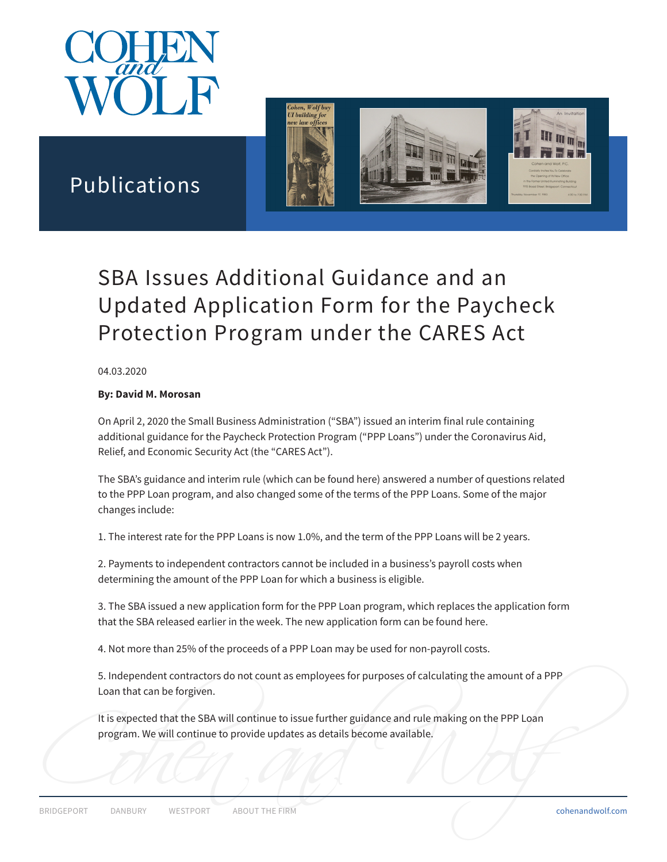

Publications



# SBA Issues Additional Guidance and an Updated Application Form for the Paycheck Protection Program under the CARES Act

#### 04.03.2020

#### **By: David M. Morosan**

On April 2, 2020 the Small Business Administration ("SBA") issued an interim final rule containing additional guidance for the Paycheck Protection Program ("PPP Loans") under the Coronavirus Aid, Relief, and Economic Security Act (the "CARES Act").

The SBA's guidance and interim rule (which can be found here) answered a number of questions related to the PPP Loan program, and also changed some of the terms of the PPP Loans. Some of the major changes include:

1. The interest rate for the PPP Loans is now 1.0%, and the term of the PPP Loans will be 2 years.

2. Payments to independent contractors cannot be included in a business's payroll costs when determining the amount of the PPP Loan for which a business is eligible.

3. The SBA issued a new application form for the PPP Loan program, which replaces the application form that the SBA released earlier in the week. The new application form can be found here.

4. Not more than 25% of the proceeds of a PPP Loan may be used for non-payroll costs.

5. Independent contractors do not count as employees for purposes of calculating the amount of a PPP Loan that can be forgiven.

Program. We will continue to provide updates as details become available.<br>
BRIDGEPORT DANBURY WESTPORT ABOUT THE FIRM cohenandwolf.com It is expected that the SBA will continue to issue further guidance and rule making on the PPP Loan program. We will continue to provide updates as details become available.